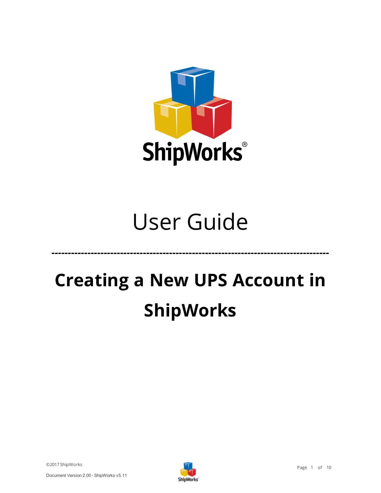

# User Guide

# **Creating a New UPS Account in ShipWorks**

©2017 ShipWorks



**-------------------------------------------------------------------------------------**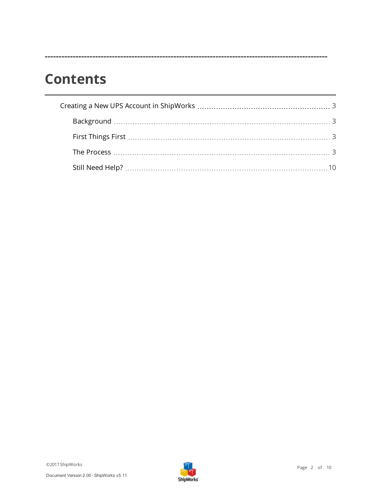## **Contents**

**-----------------------------------------------------------------------------------------------------**

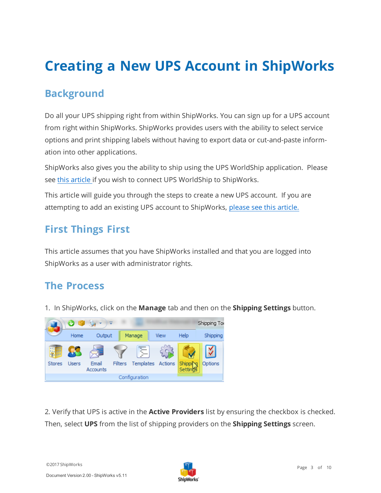## <span id="page-2-1"></span><span id="page-2-0"></span>**Creating a New UPS Account in ShipWorks**

### **Background**

Do all your UPS shipping right from within ShipWorks. You can sign up for a UPS account from right within ShipWorks. ShipWorks provides users with the ability to select service options and print shipping labels without having to export data or cut-and-paste information into other applications.

ShipWorks also gives you the ability to ship using the UPS WorldShip application. Please see this [article](http://support.shipworks.com/support/solutions/articles/104799-setting-up-ups-worldship) if you wish to connect UPS WorldShip to ShipWorks.

<span id="page-2-2"></span>This article will guide you through the steps to create a new UPS account. If you are attempting to add an existing UPS account to ShipWorks, please see this [article.](http://support.shipworks.com/support/solutions/articles/4000089644-configuring-ups-online-tools-v5-9-or-greater)

### **First Things First**

<span id="page-2-3"></span>This article assumes that you have ShipWorks installed and that you are logged into ShipWorks as a user with administrator rights.

#### **The Process**

1. In ShipWorks, click on the **Manage** tab and then on the **Shipping Settings** button.



2. Verify that UPS is active in the **Active Providers** list by ensuring the checkbox is checked. Then, select **UPS** from the list of shipping providers on the **Shipping Settings** screen.

©2017 ShipWorks

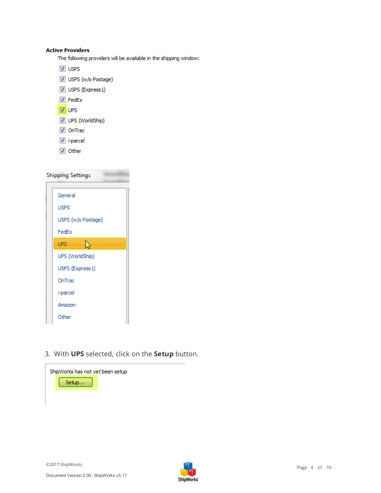#### **Active Providers**

The following providers will be available in the shipping window:

- V USPS
- USPS (w/o Postage)
- USPS (Express1)
- $V$  FedEx
- $\n **W**\n **UPS**\n$
- UPS (WorldShip)
- **V** OnTrac
- $\sqrt{ }$  i-parcel
- V Other

| <b>Shipping Settings</b> |                    |  |  |
|--------------------------|--------------------|--|--|
|                          |                    |  |  |
|                          | General            |  |  |
|                          | <b>USPS</b>        |  |  |
|                          | USPS (w/o Postage) |  |  |
|                          | FedEx              |  |  |
|                          | <b>UPS</b><br>ù    |  |  |
|                          | UPS (WorldShip)    |  |  |
|                          | USPS (Express1)    |  |  |
|                          | OnTrac             |  |  |
|                          | i-parcel           |  |  |
|                          | Amazon             |  |  |
|                          | Other              |  |  |

3. With **UPS** selected, click on the **Setup** button.



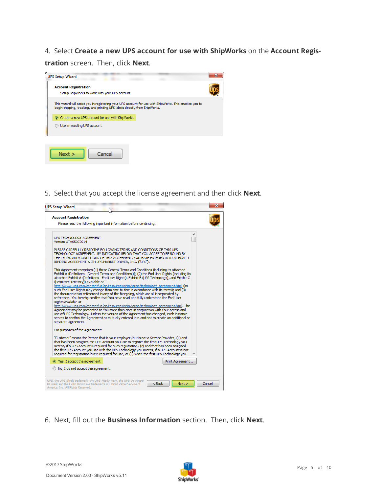#### 4. Select **Create a new UPS account for use with ShipWorks** on the **Account Regis-**

**tration** screen. Then, click **Next**.



5. Select that you accept the license agreement and then click **Next**.



6. Next, fill out the **Business Information** section. Then, click **Next**.

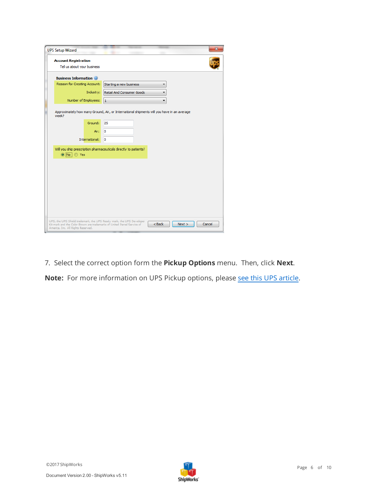| <b>UPS Setup Wizard</b>            |                                                                                                  | x      |
|------------------------------------|--------------------------------------------------------------------------------------------------|--------|
| <b>Account Registration</b>        |                                                                                                  |        |
| Tell us about your business        |                                                                                                  |        |
| <b>Business Information</b>        |                                                                                                  |        |
| Reason for Creating Account:       | Starting a new business                                                                          |        |
| Industry:                          | Retail And Consumer Goods                                                                        |        |
| Number of Employees:               | $\mathbf{1}$                                                                                     |        |
| week?<br>Ground:                   | Approximately how many Ground, Air, or International shipments will you have in an average<br>25 |        |
|                                    |                                                                                                  |        |
|                                    | Air:<br>0                                                                                        |        |
| International:                     | o                                                                                                |        |
| to No i ⊙ Yes                      | Will you ship prescription pharmaceuticals directly to patients?                                 |        |
|                                    |                                                                                                  |        |
|                                    |                                                                                                  |        |
|                                    |                                                                                                  |        |
|                                    |                                                                                                  |        |
|                                    |                                                                                                  |        |
|                                    |                                                                                                  |        |
|                                    |                                                                                                  |        |
|                                    | UPS, the UPS Shield trademark, the UPS Ready mark, the UPS Developer<br>$<$ Back<br>Next         | Cancel |
| America, Inc. All Rights Reserved. | Kit mark and the Color Brown are trademarks of United Parcel Service of                          |        |

7. Select the correct option form the **Pickup Options** menu. Then, click **Next**.

Note: For more information on UPS Pickup options, please see this UPS [article](https://www.ups.com/content/us/en/bussol/browse/pickup.html).

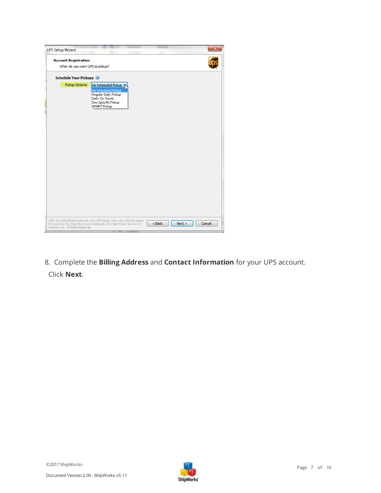| <b>UPS Setup Wizard</b>                                        |                                                                                                                                                 |          | $\overline{\mathbf{x}}$ |  |
|----------------------------------------------------------------|-------------------------------------------------------------------------------------------------------------------------------------------------|----------|-------------------------|--|
| <b>Account Registration</b><br>When do you want UPS to pickup? |                                                                                                                                                 |          |                         |  |
| <b>Schedule Your Pickups</b>                                   |                                                                                                                                                 |          |                         |  |
| Pickup Options:                                                | No Scheduled Pickup<br>No Scheduled Pickup<br>Regular Daily Pickup<br>Daily-On Route<br>Day Specific Pickup<br><b>SMART Pickup</b>              |          |                         |  |
| America, Inc. All Rights Reserved.                             | UPS, the UPS Shield trademark, the UPS Ready mark, the UPS Developer<br>Kit mark and the Color Brown are trademarks of United Parcel Service of | $<$ Back | Next<br>Cancel          |  |

8. Complete the **Billing Address** and **Contact Information** for your UPS account. Click **Next**.

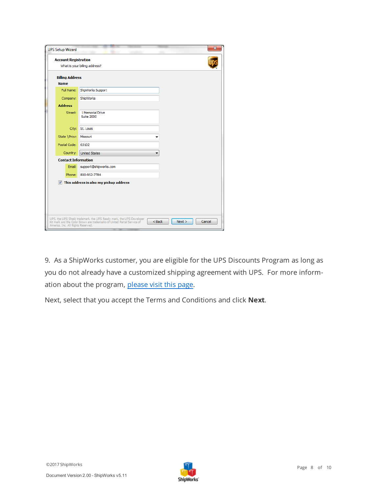|                            | <b>UPS Setup Wizard</b>            |                                                                                                         |  |  |  |
|----------------------------|------------------------------------|---------------------------------------------------------------------------------------------------------|--|--|--|
|                            | <b>Account Registration</b>        | What is your billing address?                                                                           |  |  |  |
| <b>Billing Address</b>     |                                    |                                                                                                         |  |  |  |
|                            | <b>Name</b>                        |                                                                                                         |  |  |  |
|                            | Full Name:                         | ShpWorks Support                                                                                        |  |  |  |
|                            | Company:                           | ShipWorks                                                                                               |  |  |  |
|                            | <b>Address</b>                     |                                                                                                         |  |  |  |
|                            | Street:                            | 1 Memorial Drive<br>Suite 2000                                                                          |  |  |  |
|                            | City:                              | St. Louis                                                                                               |  |  |  |
|                            | State \Prov:                       | Missouri                                                                                                |  |  |  |
|                            | Postal Code:                       | 63102                                                                                                   |  |  |  |
|                            | Country:                           | <b>United States</b>                                                                                    |  |  |  |
| <b>Contact Information</b> |                                    |                                                                                                         |  |  |  |
|                            | Email:                             | support@shipworks.com                                                                                   |  |  |  |
|                            | Phone:                             | 800-952-7784                                                                                            |  |  |  |
|                            |                                    | $\triangledown$ This address is also my pickup address                                                  |  |  |  |
|                            |                                    |                                                                                                         |  |  |  |
|                            |                                    |                                                                                                         |  |  |  |
|                            |                                    |                                                                                                         |  |  |  |
|                            |                                    |                                                                                                         |  |  |  |
|                            |                                    | UPS, the UPS Shield trademark, the UPS Ready mark, the UPS Developer                                    |  |  |  |
|                            | America, Inc. All Rights Reserved. | Cancel<br>$<$ Back<br>Next ><br>Kit mark and the Color Brown are trademarks of United Parcel Service of |  |  |  |

9. As a ShipWorks customer, you are eligible for the UPS Discounts Program as long as you do not already have a customized shipping agreement with UPS. For more information about the program, [please](http://www.shipworks.com/ups-shipping-discounts/) visit this page.

Next, select that you accept the Terms and Conditions and click **Next**.

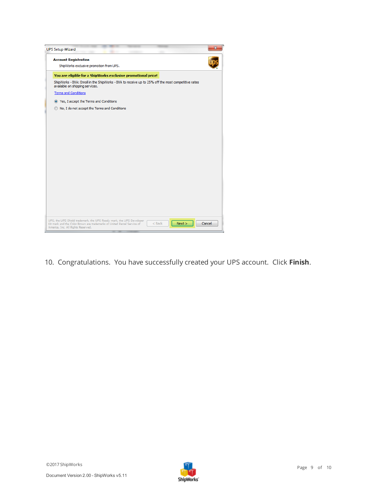| <b>UPS Setup Wizard</b>                                                                                                                                                                                     |        |
|-------------------------------------------------------------------------------------------------------------------------------------------------------------------------------------------------------------|--------|
| <b>Account Registration</b><br>ShipWorks exclusive promotion from UPS.                                                                                                                                      |        |
| You are eligible for a ShipWorks exclusive promotional price!                                                                                                                                               |        |
| ShipWorks - BXA: Enroll in the ShipWorks - BXA to receive up to 25% off the most competitive rates<br>available on shipping services.                                                                       |        |
| <b>Terms and Conditions</b>                                                                                                                                                                                 |        |
| Second Yes, I accept the Terms and Conditions                                                                                                                                                               |        |
| No, I do not accept the Terms and Conditions                                                                                                                                                                |        |
|                                                                                                                                                                                                             |        |
|                                                                                                                                                                                                             |        |
|                                                                                                                                                                                                             |        |
|                                                                                                                                                                                                             |        |
|                                                                                                                                                                                                             |        |
|                                                                                                                                                                                                             |        |
|                                                                                                                                                                                                             |        |
|                                                                                                                                                                                                             |        |
|                                                                                                                                                                                                             |        |
|                                                                                                                                                                                                             |        |
|                                                                                                                                                                                                             |        |
|                                                                                                                                                                                                             |        |
| UPS, the UPS Shield trademark, the UPS Ready mark, the UPS Developer<br>$<$ Back<br>Next ><br>Kit mark and the Color Brown are trademarks of United Parcel Service of<br>America, Inc. All Rights Reserved. | Cancel |

10. Congratulations. You have successfully created your UPS account. Click **Finish**.